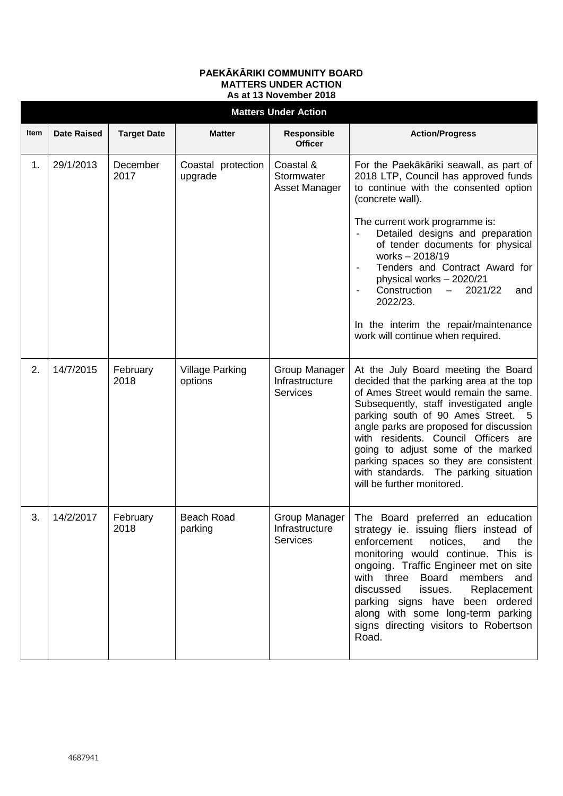## **PAEKĀKĀRIKI COMMUNITY BOARD MATTERS UNDER ACTION As at 13 November 2018**

|      | <b>Matters Under Action</b> |                    |                                   |                                                      |                                                                                                                                                                                                                                                                                                                                                                                                                                                                            |  |  |  |  |  |
|------|-----------------------------|--------------------|-----------------------------------|------------------------------------------------------|----------------------------------------------------------------------------------------------------------------------------------------------------------------------------------------------------------------------------------------------------------------------------------------------------------------------------------------------------------------------------------------------------------------------------------------------------------------------------|--|--|--|--|--|
| Item | <b>Date Raised</b>          | <b>Target Date</b> | <b>Matter</b>                     | Responsible<br><b>Officer</b>                        | <b>Action/Progress</b>                                                                                                                                                                                                                                                                                                                                                                                                                                                     |  |  |  |  |  |
| 1.   | 29/1/2013                   | December<br>2017   | Coastal protection<br>upgrade     | Coastal &<br>Stormwater<br>Asset Manager             | For the Paekākāriki seawall, as part of<br>2018 LTP, Council has approved funds<br>to continue with the consented option<br>(concrete wall).<br>The current work programme is:<br>Detailed designs and preparation<br>of tender documents for physical<br>works - 2018/19<br>Tenders and Contract Award for<br>physical works - 2020/21<br>Construction<br>2021/22<br>$-$<br>and<br>2022/23.<br>In the interim the repair/maintenance<br>work will continue when required. |  |  |  |  |  |
| 2.   | 14/7/2015                   | February<br>2018   | <b>Village Parking</b><br>options | Group Manager<br>Infrastructure<br><b>Services</b>   | At the July Board meeting the Board<br>decided that the parking area at the top<br>of Ames Street would remain the same.<br>Subsequently, staff investigated angle<br>parking south of 90 Ames Street. 5<br>angle parks are proposed for discussion<br>with residents. Council Officers are<br>going to adjust some of the marked<br>parking spaces so they are consistent<br>with standards. The parking situation<br>will be further monitored.                          |  |  |  |  |  |
| 3.   | 14/2/2017                   | February<br>2018   | <b>Beach Road</b><br>parking      | Group Manager  <br>Infrastructure<br><b>Services</b> | The Board preferred an education<br>strategy ie. issuing fliers instead of<br>enforcement notices,<br>and<br>the<br>monitoring would continue. This is<br>ongoing. Traffic Engineer met on site<br>with three Board members and<br>Replacement<br>discussed<br>issues.<br>parking signs have been ordered<br>along with some long-term parking<br>signs directing visitors to Robertson<br>Road.                                                                           |  |  |  |  |  |